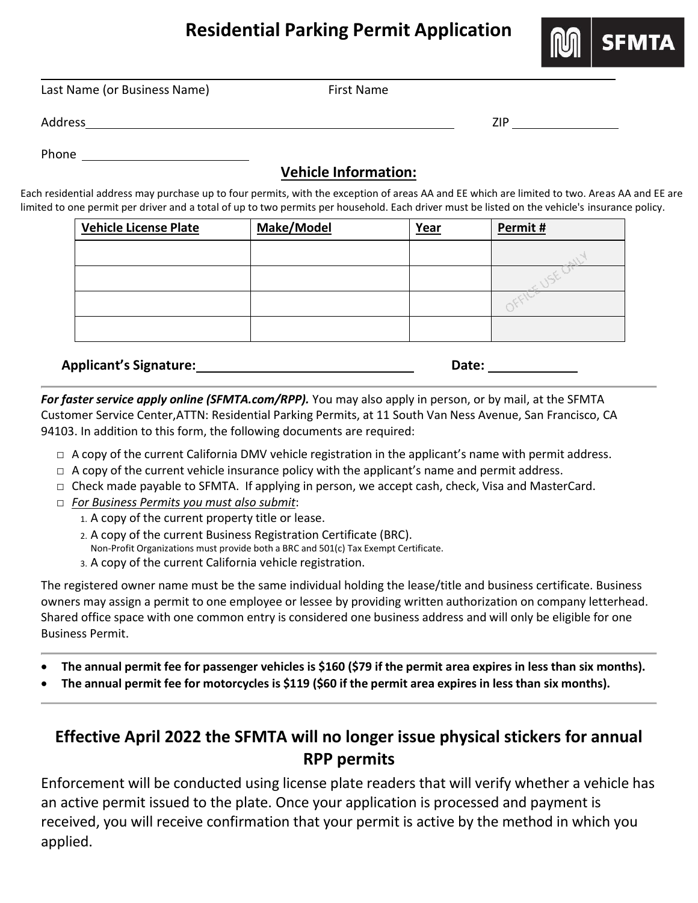## **Residential Parking Permit Application**



Last Name (or Business Name) First Name

Address ZIP

Phone

## **Vehicle Information:**

Each residential address may purchase up to four permits, with the exception of areas AA and EE which are limited to two. Areas AA and EE are limited to one permit per driver and a total of up to two permits per household. Each driver must be listed on the vehicle's insurance policy.

| <b>Vehicle License Plate</b> | Make/Model | Year | Permit # |  |  |  |  |
|------------------------------|------------|------|----------|--|--|--|--|
|                              |            |      |          |  |  |  |  |
|                              |            |      |          |  |  |  |  |
|                              |            |      |          |  |  |  |  |
|                              |            |      |          |  |  |  |  |

**Applicant's Signature: Date:**

*For faster service apply online (SFMTA.com/RPP).* You may also apply in person, or by mail, at the SFMTA Customer Service Center,ATTN: Residential Parking Permits, at 11 South Van Ness Avenue, San Francisco, CA 94103. In addition to this form, the following documents are required:

- $\Box$  A copy of the current California DMV vehicle registration in the applicant's name with permit address.
- $\Box$  A copy of the current vehicle insurance policy with the applicant's name and permit address.
- $\Box$  Check made payable to SFMTA. If applying in person, we accept cash, check, Visa and MasterCard.
- □ *For Business Permits you must also submit*:
	- 1. A copy of the current property title or lease.
	- 2. A copy of the current Business Registration Certificate (BRC).
	- Non-Profit Organizations must provide both a BRC and 501(c) Tax Exempt Certificate.
	- 3. A copy of the current California vehicle registration.

The registered owner name must be the same individual holding the lease/title and business certificate. Business owners may assign a permit to one employee or lessee by providing written authorization on company letterhead. Shared office space with one common entry is considered one business address and will only be eligible for one Business Permit.

- **The annual permit fee for passenger vehicles is \$160 (\$79 if the permit area expires in less than six months).**
- **The annual permit fee for motorcycles is \$119 (\$60 if the permit area expires in less than six months).**

## **Effective April 2022 the SFMTA will no longer issue physical stickers for annual RPP permits**

Enforcement will be conducted using license plate readers that will verify whether a vehicle has an active permit issued to the plate. Once your application is processed and payment is received, you will receive confirmation that your permit is active by the method in which you applied.